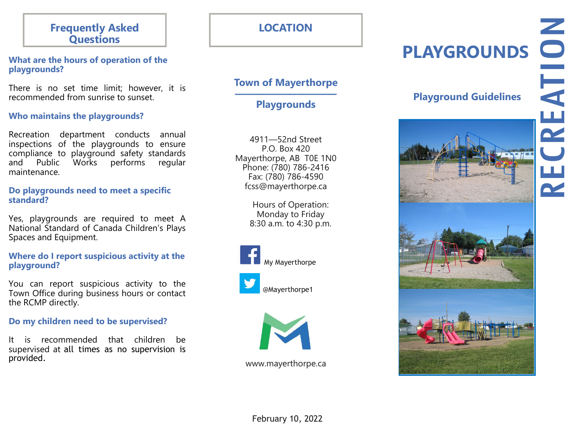# **Frequently Asked Questions**

## **What are the hours of operation of the playgrounds?**

There is no set time limit; however, it is recommended from sunrise to sunset.

# **Who maintains the playgrounds?**

Recreation department conducts annual inspections of the playgrounds to ensure compliance to playground safety standards and Public Works performs regular maintenance.

## **Do playgrounds need to meet a specific standard?**

Yes, playgrounds are required to meet A National Standard of Canada Children's Plays Spaces and Equipment.

# **Where do I report suspicious activity at the playground?**

You can report suspicious activity to the Town Office during business hours or contact the RCMP directly.

# **Do my children need to be supervised?**

It is recommended that children be supervised at all times as no supervision is provided.

# **PLAYGROUNDS**

# **Town of Mayerthorpe**

**—————————— Playgrounds** 

4911—52nd Street P.O. Box 420 Mayerthorpe, AB T0E 1N0 Phone: (780) 786-2416 Fax: (780) 786-4590 fcss@mayerthorpe.ca

> Hours of Operation: Monday to Friday 8:30 a.m. to 4:30 p.m.







www.mayerthorpe.ca

# **Playground Guidelines**